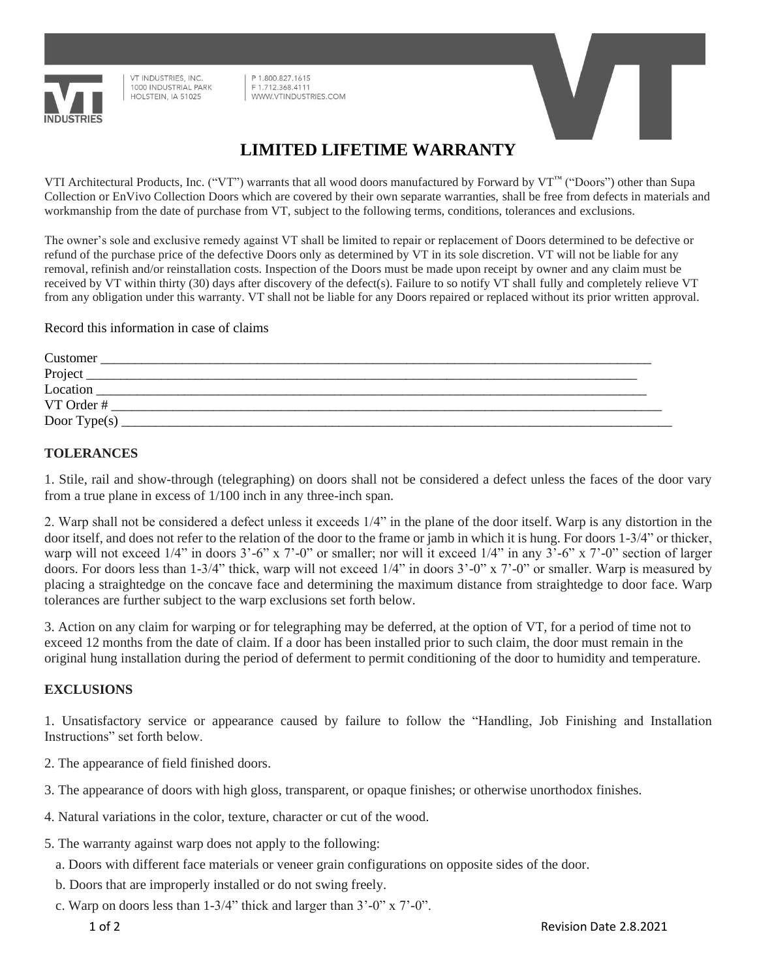

VT INDUSTRIES, INC. 1000 INDUSTRIAL PARK HOLSTEIN, IA 51025

1.800.827.1615 F 1.712.368.4111 WWW.VTINDUSTRIES.COM



## **LIMITED LIFETIME WARRANTY**

VTI Architectural Products, Inc. ("VT") warrants that all wood doors manufactured by Forward by VT™ ("Doors") other than Supa Collection or EnVivo Collection Doors which are covered by their own separate warranties, shall be free from defects in materials and workmanship from the date of purchase from VT, subject to the following terms, conditions, tolerances and exclusions.

The owner's sole and exclusive remedy against VT shall be limited to repair or replacement of Doors determined to be defective or refund of the purchase price of the defective Doors only as determined by VT in its sole discretion. VT will not be liable for any removal, refinish and/or reinstallation costs. Inspection of the Doors must be made upon receipt by owner and any claim must be received by VT within thirty (30) days after discovery of the defect(s). Failure to so notify VT shall fully and completely relieve VT from any obligation under this warranty. VT shall not be liable for any Doors repaired or replaced without its prior written approval.

Record this information in case of claims

| Customer        |  |
|-----------------|--|
| Project         |  |
| Location        |  |
| VT Order #      |  |
| Door Type $(s)$ |  |

## **TOLERANCES**

1. Stile, rail and show-through (telegraphing) on doors shall not be considered a defect unless the faces of the door vary from a true plane in excess of 1/100 inch in any three-inch span.

2. Warp shall not be considered a defect unless it exceeds 1/4" in the plane of the door itself. Warp is any distortion in the door itself, and does not refer to the relation of the door to the frame or jamb in which it is hung. For doors 1-3/4" or thicker, warp will not exceed 1/4" in doors  $3'-6$ " x  $7'-0$ " or smaller; nor will it exceed 1/4" in any  $3'-6$ " x  $7'-0$ " section of larger doors. For doors less than 1-3/4" thick, warp will not exceed 1/4" in doors 3'-0" x 7'-0" or smaller. Warp is measured by placing a straightedge on the concave face and determining the maximum distance from straightedge to door face. Warp tolerances are further subject to the warp exclusions set forth below.

3. Action on any claim for warping or for telegraphing may be deferred, at the option of VT, for a period of time not to exceed 12 months from the date of claim. If a door has been installed prior to such claim, the door must remain in the original hung installation during the period of deferment to permit conditioning of the door to humidity and temperature.

## **EXCLUSIONS**

1. Unsatisfactory service or appearance caused by failure to follow the "Handling, Job Finishing and Installation Instructions" set forth below.

- 2. The appearance of field finished doors.
- 3. The appearance of doors with high gloss, transparent, or opaque finishes; or otherwise unorthodox finishes.
- 4. Natural variations in the color, texture, character or cut of the wood.
- 5. The warranty against warp does not apply to the following:
	- a. Doors with different face materials or veneer grain configurations on opposite sides of the door.
	- b. Doors that are improperly installed or do not swing freely.
	- c. Warp on doors less than  $1-3/4$ " thick and larger than  $3'-0$ " x  $7'-0$ ".